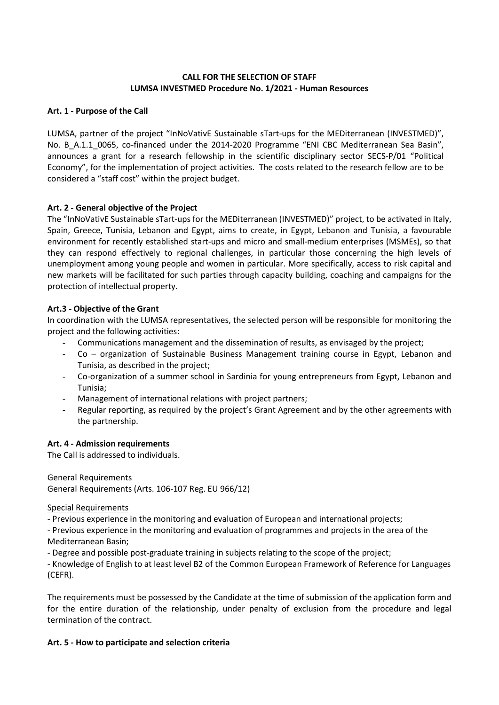# CALL FOR THE SELECTION OF STAFF LUMSA INVESTMED Procedure No. 1/2021 - Human Resources

### Art. 1 - Purpose of the Call

LUMSA, partner of the project "InNoVativE Sustainable sTart-ups for the MEDiterranean (INVESTMED)", No. B A.1.1 0065, co-financed under the 2014-2020 Programme "ENI CBC Mediterranean Sea Basin", announces a grant for a research fellowship in the scientific disciplinary sector SECS-P/01 "Political Economy", for the implementation of project activities. The costs related to the research fellow are to be considered a "staff cost" within the project budget.

## Art. 2 - General objective of the Project

The "InNoVativE Sustainable sTart-ups for the MEDiterranean (INVESTMED)" project, to be activated in Italy, Spain, Greece, Tunisia, Lebanon and Egypt, aims to create, in Egypt, Lebanon and Tunisia, a favourable environment for recently established start-ups and micro and small-medium enterprises (MSMEs), so that they can respond effectively to regional challenges, in particular those concerning the high levels of unemployment among young people and women in particular. More specifically, access to risk capital and new markets will be facilitated for such parties through capacity building, coaching and campaigns for the protection of intellectual property.

#### Art.3 - Objective of the Grant

In coordination with the LUMSA representatives, the selected person will be responsible for monitoring the project and the following activities:

- Communications management and the dissemination of results, as envisaged by the project;
- Co organization of Sustainable Business Management training course in Egypt, Lebanon and Tunisia, as described in the project;
- Co-organization of a summer school in Sardinia for young entrepreneurs from Egypt, Lebanon and Tunisia;
- Management of international relations with project partners;
- Regular reporting, as required by the project's Grant Agreement and by the other agreements with the partnership.

#### Art. 4 - Admission requirements

The Call is addressed to individuals.

General Requirements General Requirements (Arts. 106-107 Reg. EU 966/12)

#### Special Requirements

- Previous experience in the monitoring and evaluation of European and international projects;

- Previous experience in the monitoring and evaluation of programmes and projects in the area of the Mediterranean Basin;

- Degree and possible post-graduate training in subjects relating to the scope of the project;

- Knowledge of English to at least level B2 of the Common European Framework of Reference for Languages (CEFR).

The requirements must be possessed by the Candidate at the time of submission of the application form and for the entire duration of the relationship, under penalty of exclusion from the procedure and legal termination of the contract.

#### Art. 5 - How to participate and selection criteria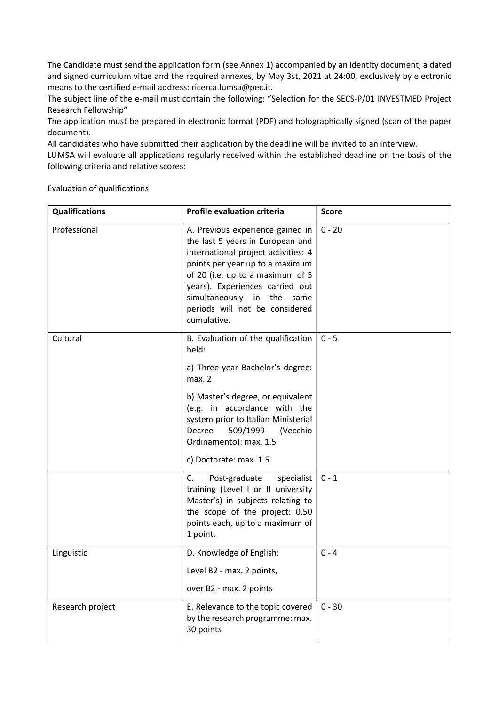The Candidate must send the application form (see Annex 1) accompanied by an identity document, a dated and signed curriculum vitae and the required annexes, by May 3st, 2021 at 24:00, exclusively by electronic means to the certified e-mail address: ricerca.lumsa@pec.it.

The subject line of the e-mail must contain the following: "Selection for the SECS-P/01 INVESTMED Project Research Fellowship"

The application must be prepared in electronic format (PDF) and holographically signed (scan of the paper document).

All candidates who have submitted their application by the deadline will be invited to an interview.

LUMSA will evaluate all applications regularly received within the established deadline on the basis of the following criteria and relative scores:

Evaluation of qualifications

| <b>Qualifications</b> | <b>Profile evaluation criteria</b>                                                                                                                                                                                                                                                                   | <b>Score</b> |
|-----------------------|------------------------------------------------------------------------------------------------------------------------------------------------------------------------------------------------------------------------------------------------------------------------------------------------------|--------------|
| Professional          | A. Previous experience gained in<br>the last 5 years in European and<br>international project activities: 4<br>points per year up to a maximum<br>of 20 (i.e. up to a maximum of 5<br>years). Experiences carried out<br>simultaneously in the same<br>periods will not be considered<br>cumulative. | $0 - 20$     |
| Cultural              | B. Evaluation of the qualification<br>held:<br>a) Three-year Bachelor's degree:<br>max.2<br>b) Master's degree, or equivalent<br>(e.g. in accordance with the<br>system prior to Italian Ministerial<br>Decree<br>509/1999<br>(Vecchio<br>Ordinamento): max. 1.5<br>c) Doctorate: max. 1.5           | $0 - 5$      |
|                       | C.<br>Post-graduate<br>specialist<br>training (Level I or II university<br>Master's) in subjects relating to<br>the scope of the project: 0.50<br>points each, up to a maximum of<br>1 point.                                                                                                        | $0 - 1$      |
| Linguistic            | D. Knowledge of English:<br>Level B2 - max. 2 points,<br>over B2 - max. 2 points                                                                                                                                                                                                                     | $0 - 4$      |
| Research project      | E. Relevance to the topic covered<br>by the research programme: max.<br>30 points                                                                                                                                                                                                                    | $0 - 30$     |